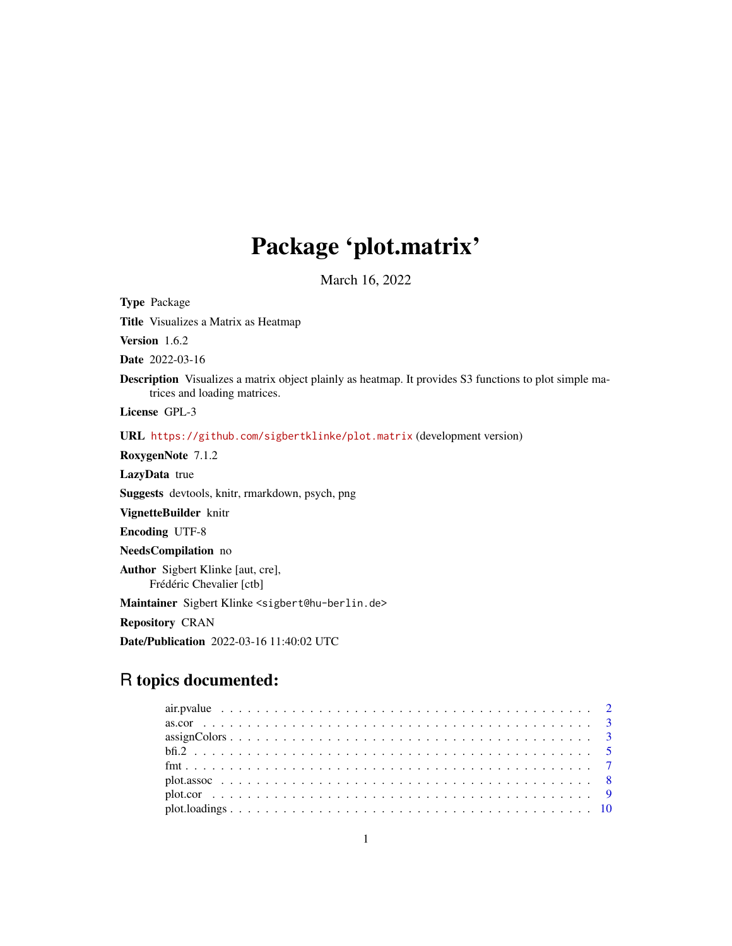# Package 'plot.matrix'

March 16, 2022

<span id="page-0-0"></span>Type Package

Title Visualizes a Matrix as Heatmap

Version 1.6.2

Date 2022-03-16

Description Visualizes a matrix object plainly as heatmap. It provides S3 functions to plot simple matrices and loading matrices.

License GPL-3

URL <https://github.com/sigbertklinke/plot.matrix> (development version)

RoxygenNote 7.1.2

LazyData true

Suggests devtools, knitr, rmarkdown, psych, png

VignetteBuilder knitr

Encoding UTF-8

NeedsCompilation no

Author Sigbert Klinke [aut, cre], Frédéric Chevalier [ctb]

Maintainer Sigbert Klinke <sigbert@hu-berlin.de>

Repository CRAN

Date/Publication 2022-03-16 11:40:02 UTC

# R topics documented:

| $assign \text{Colors} \dots \dots \dots \dots \dots \dots \dots \dots \dots \dots \dots \dots \dots \dots \dots \dots \dots$ |  |
|------------------------------------------------------------------------------------------------------------------------------|--|
|                                                                                                                              |  |
|                                                                                                                              |  |
|                                                                                                                              |  |
|                                                                                                                              |  |
|                                                                                                                              |  |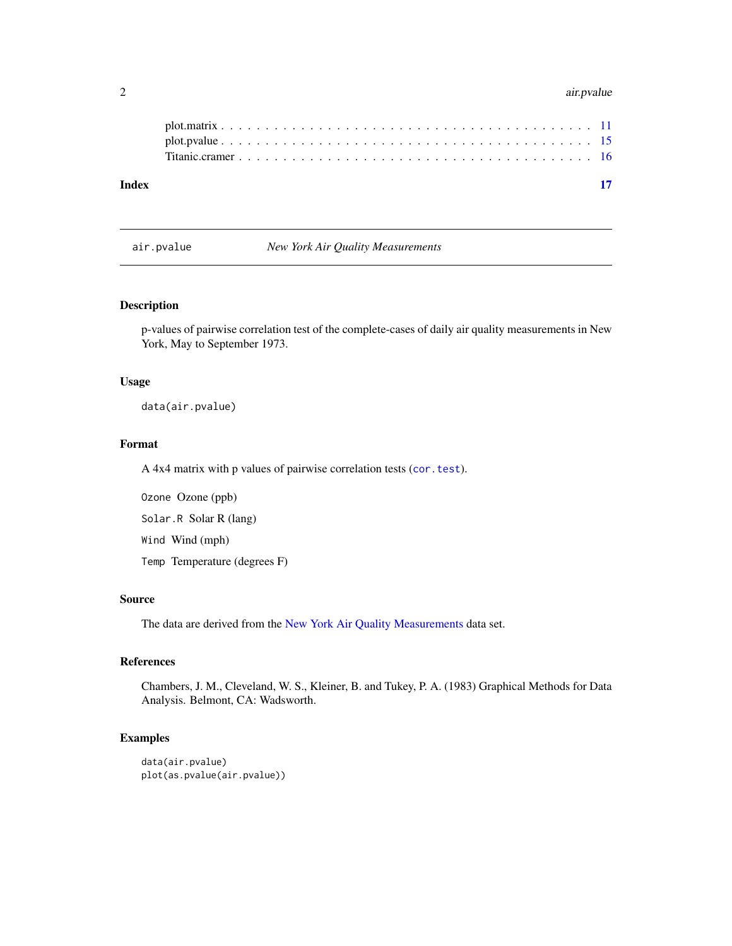#### <span id="page-1-0"></span>2 air.pvalue

## air.pvalue *New York Air Quality Measurements*

#### Description

p-values of pairwise correlation test of the complete-cases of daily air quality measurements in New York, May to September 1973.

# Usage

data(air.pvalue)

#### Format

A 4x4 matrix with p values of pairwise correlation tests ([cor.test](#page-0-0)).

Ozone Ozone (ppb) Solar.R Solar R (lang) Wind Wind (mph) Temp Temperature (degrees F)

#### Source

The data are derived from the [New York Air Quality Measurements](#page-0-0) data set.

#### References

Chambers, J. M., Cleveland, W. S., Kleiner, B. and Tukey, P. A. (1983) Graphical Methods for Data Analysis. Belmont, CA: Wadsworth.

```
data(air.pvalue)
plot(as.pvalue(air.pvalue))
```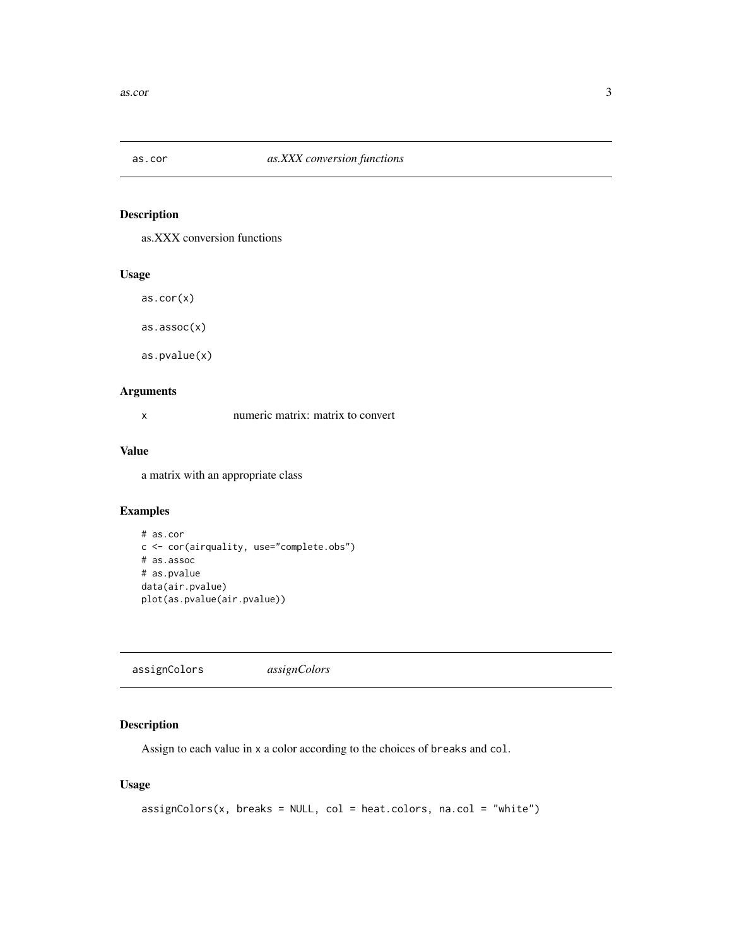<span id="page-2-0"></span>

# Description

as.XXX conversion functions

# Usage

as.cor(x)

as.assoc(x)

as.pvalue(x)

# Arguments

x numeric matrix: matrix to convert

# Value

a matrix with an appropriate class

# Examples

```
# as.cor
c <- cor(airquality, use="complete.obs")
# as.assoc
# as.pvalue
data(air.pvalue)
plot(as.pvalue(air.pvalue))
```
assignColors *assignColors*

# Description

Assign to each value in x a color according to the choices of breaks and col.

### Usage

```
assignColors(x, breaks = NULL, col = heat.colors, na.col = "white")
```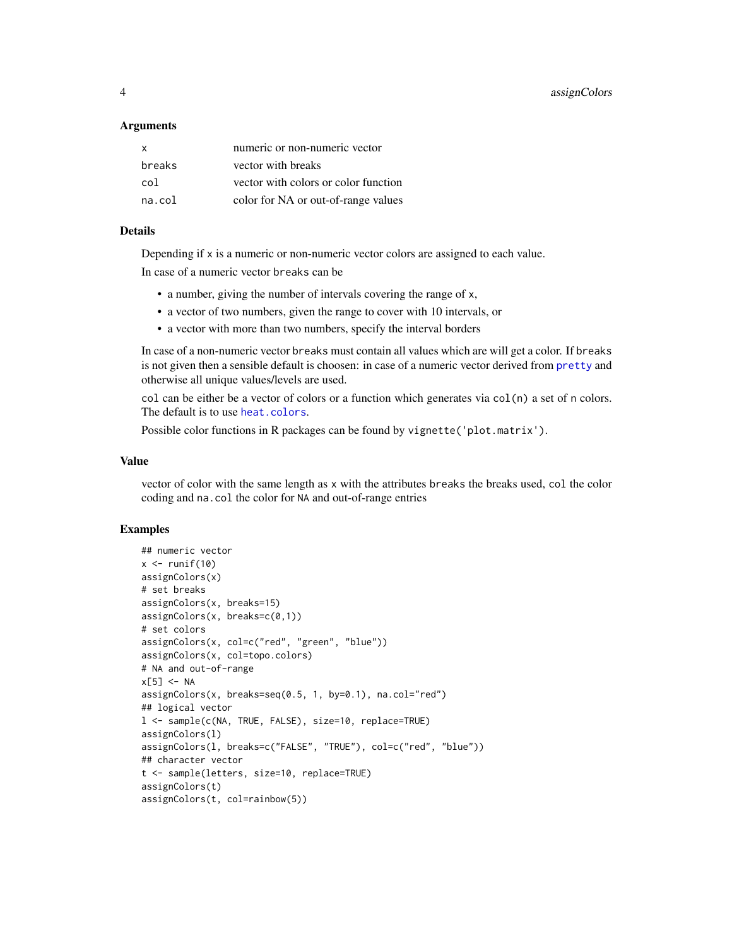<span id="page-3-0"></span>4 assignColors assignColors and  $\overline{a}$  assignColors assignColors assignColors assignColors assignColors and  $\overline{a}$  assignColors and  $\overline{a}$  assignColors and  $\overline{a}$  assignColors and  $\overline{a}$  assignColors and  $\overline{a}$ 

#### **Arguments**

| $\mathsf{x}$ | numeric or non-numeric vector        |
|--------------|--------------------------------------|
| breaks       | vector with breaks                   |
| col          | vector with colors or color function |
| na.col       | color for NA or out-of-range values  |

# Details

Depending if x is a numeric or non-numeric vector colors are assigned to each value.

In case of a numeric vector breaks can be

- a number, giving the number of intervals covering the range of x,
- a vector of two numbers, given the range to cover with 10 intervals, or
- a vector with more than two numbers, specify the interval borders

In case of a non-numeric vector breaks must contain all values which are will get a color. If breaks is not given then a sensible default is choosen: in case of a numeric vector derived from [pretty](#page-0-0) and otherwise all unique values/levels are used.

col can be either be a vector of colors or a function which generates via col(n) a set of n colors. The default is to use [heat.colors](#page-0-0).

Possible color functions in R packages can be found by vignette ('plot.matrix').

# Value

vector of color with the same length as x with the attributes breaks the breaks used, col the color coding and na.col the color for NA and out-of-range entries

```
## numeric vector
x \leftarrow runif(10)assignColors(x)
# set breaks
assignColors(x, breaks=15)
assignColors(x, breaks=c(0,1))
# set colors
assignColors(x, col=c("red", "green", "blue"))
assignColors(x, col=topo.colors)
# NA and out-of-range
x[5] <- NA
assignColors(x, breaks=seq(0.5, 1, by=0.1), na.col="red")
## logical vector
l <- sample(c(NA, TRUE, FALSE), size=10, replace=TRUE)
assignColors(l)
assignColors(l, breaks=c("FALSE", "TRUE"), col=c("red", "blue"))
## character vector
t <- sample(letters, size=10, replace=TRUE)
assignColors(t)
assignColors(t, col=rainbow(5))
```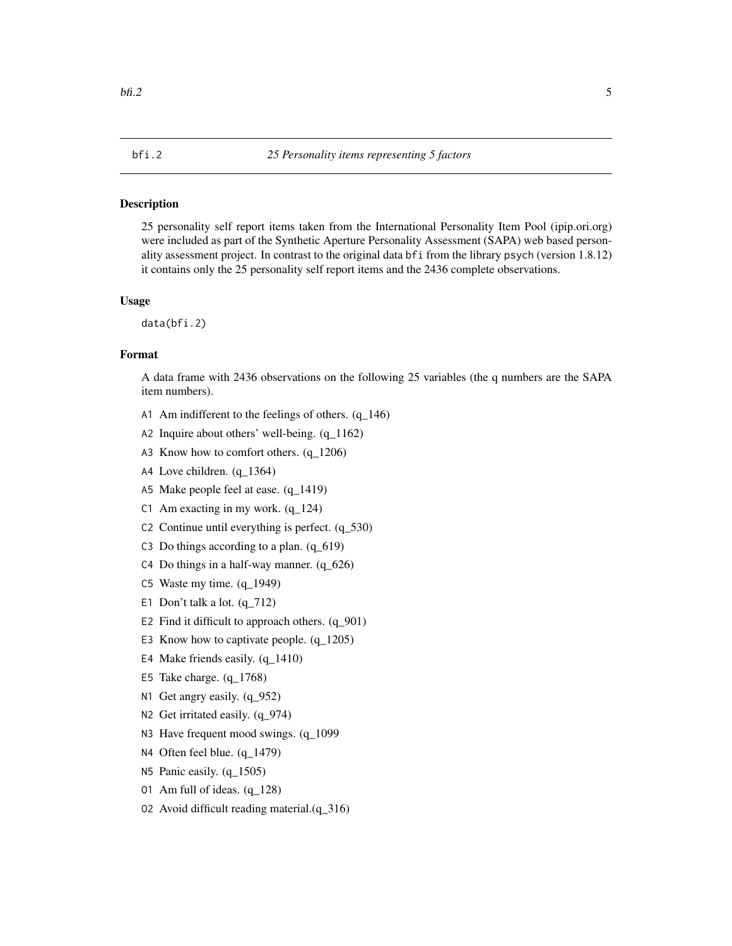# <span id="page-4-0"></span>Description

25 personality self report items taken from the International Personality Item Pool (ipip.ori.org) were included as part of the Synthetic Aperture Personality Assessment (SAPA) web based personality assessment project. In contrast to the original data bfi from the library psych (version 1.8.12) it contains only the 25 personality self report items and the 2436 complete observations.

#### Usage

data(bfi.2)

# Format

A data frame with 2436 observations on the following 25 variables (the q numbers are the SAPA item numbers).

- A1 Am indifferent to the feelings of others.  $(q_146)$
- A2 Inquire about others' well-being. (q\_1162)
- A3 Know how to comfort others. (q\_1206)
- A4 Love children. (q\_1364)
- A5 Make people feel at ease. (q\_1419)
- C1 Am exacting in my work. (q\_124)
- C2 Continue until everything is perfect. (q\_530)
- C3 Do things according to a plan. (q\_619)
- C4 Do things in a half-way manner.  $(q_626)$
- C5 Waste my time. (q\_1949)
- E1 Don't talk a lot.  $(q_712)$
- E2 Find it difficult to approach others.  $(q_901)$
- E3 Know how to captivate people. (q\_1205)
- E4 Make friends easily. (q\_1410)
- E5 Take charge. (q\_1768)
- N1 Get angry easily.  $(q_952)$
- N<sub>2</sub> Get irritated easily. (q\_974)
- N3 Have frequent mood swings. (q\_1099)
- N4 Often feel blue. (q\_1479)
- N5 Panic easily. (q\_1505)
- O1 Am full of ideas. (q\_128)
- O2 Avoid difficult reading material.(q\_316)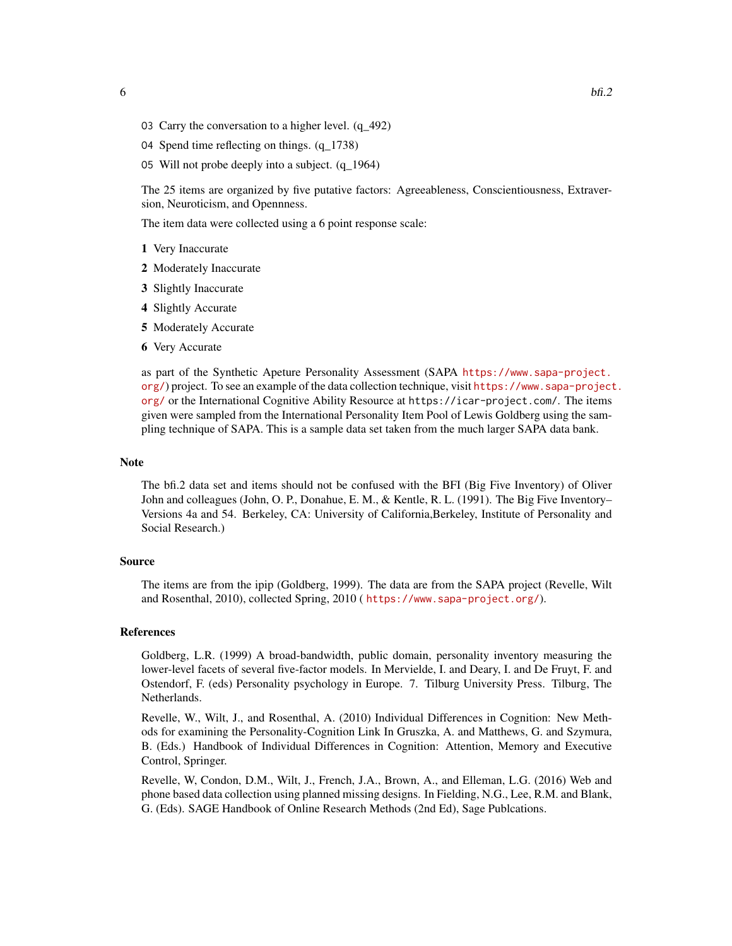- 03 Carry the conversation to a higher level.  $(q_492)$
- O4 Spend time reflecting on things. (q\_1738)
- O5 Will not probe deeply into a subject. (q\_1964)

The 25 items are organized by five putative factors: Agreeableness, Conscientiousness, Extraversion, Neuroticism, and Opennness.

The item data were collected using a 6 point response scale:

- 1 Very Inaccurate
- 2 Moderately Inaccurate
- 3 Slightly Inaccurate
- 4 Slightly Accurate
- 5 Moderately Accurate
- 6 Very Accurate

as part of the Synthetic Apeture Personality Assessment (SAPA [https://www.sapa-project.](https://www.sapa-project.org/) [org/](https://www.sapa-project.org/)) project. To see an example of the data collection technique, visit [https://www.sapa-project](https://www.sapa-project.org/). [org/](https://www.sapa-project.org/) or the International Cognitive Ability Resource at https://icar-project.com/. The items given were sampled from the International Personality Item Pool of Lewis Goldberg using the sampling technique of SAPA. This is a sample data set taken from the much larger SAPA data bank.

#### Note

The bfi.2 data set and items should not be confused with the BFI (Big Five Inventory) of Oliver John and colleagues (John, O. P., Donahue, E. M., & Kentle, R. L. (1991). The Big Five Inventory– Versions 4a and 54. Berkeley, CA: University of California,Berkeley, Institute of Personality and Social Research.)

#### Source

The items are from the ipip (Goldberg, 1999). The data are from the SAPA project (Revelle, Wilt and Rosenthal, 2010), collected Spring, 2010 ( <https://www.sapa-project.org/>).

#### References

Goldberg, L.R. (1999) A broad-bandwidth, public domain, personality inventory measuring the lower-level facets of several five-factor models. In Mervielde, I. and Deary, I. and De Fruyt, F. and Ostendorf, F. (eds) Personality psychology in Europe. 7. Tilburg University Press. Tilburg, The Netherlands.

Revelle, W., Wilt, J., and Rosenthal, A. (2010) Individual Differences in Cognition: New Methods for examining the Personality-Cognition Link In Gruszka, A. and Matthews, G. and Szymura, B. (Eds.) Handbook of Individual Differences in Cognition: Attention, Memory and Executive Control, Springer.

Revelle, W, Condon, D.M., Wilt, J., French, J.A., Brown, A., and Elleman, L.G. (2016) Web and phone based data collection using planned missing designs. In Fielding, N.G., Lee, R.M. and Blank, G. (Eds). SAGE Handbook of Online Research Methods (2nd Ed), Sage Publcations.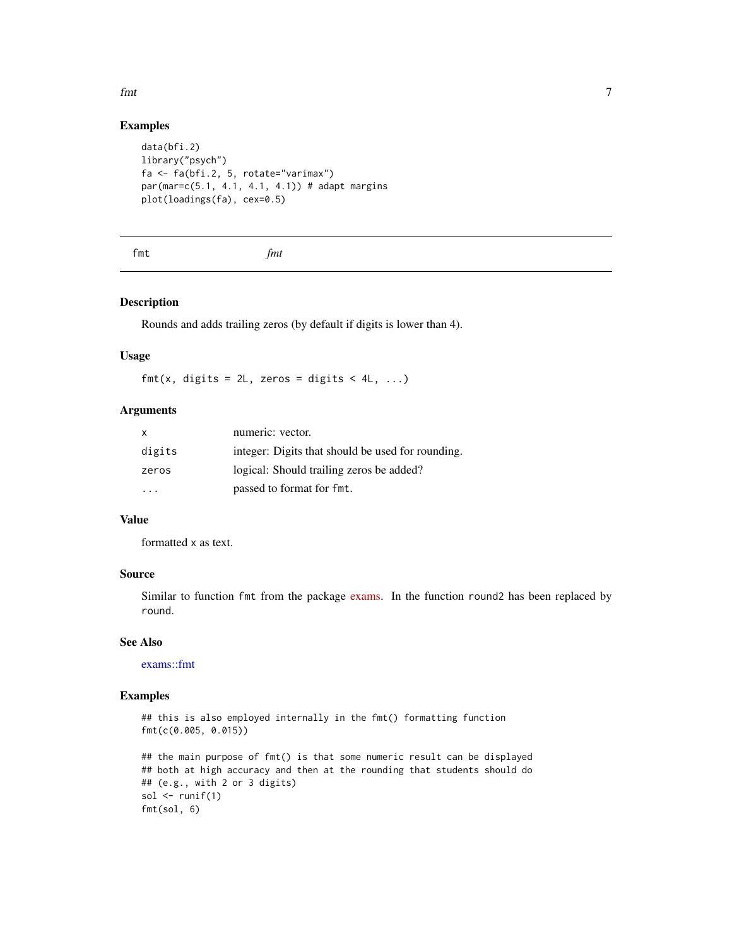# Examples

```
data(bfi.2)
library("psych")
fa <- fa(bfi.2, 5, rotate="varimax")
par(mar=c(5.1, 4.1, 4.1, 4.1)) # adapt margins
plot(loadings(fa), cex=0.5)
```
fmt *fmt*

# Description

Rounds and adds trailing zeros (by default if digits is lower than 4).

#### Usage

 $fmt(x, \text{ digits} = 2L, \text{ zeros} = \text{ digits} < 4L, \ldots)$ 

#### Arguments

| $\mathsf{x}$ | numeric: vector.                                  |
|--------------|---------------------------------------------------|
| digits       | integer: Digits that should be used for rounding. |
| zeros        | logical: Should trailing zeros be added?          |
| .            | passed to format for fmt.                         |

#### Value

formatted x as text.

#### Source

Similar to function fmt from the package [exams.](https://CRAN.R-project.org/package=exams) In the function round2 has been replaced by round.

# See Also

[exams::fmt](#page-0-0)

# Examples

```
## this is also employed internally in the fmt() formatting function
fmt(c(0.005, 0.015))
## the main purpose of fmt() is that some numeric result can be displayed
## both at high accuracy and then at the rounding that students should do
## (e.g., with 2 or 3 digits)
sol \le runif(1)
fmt(sol, 6)
```
<span id="page-6-0"></span>fmt 7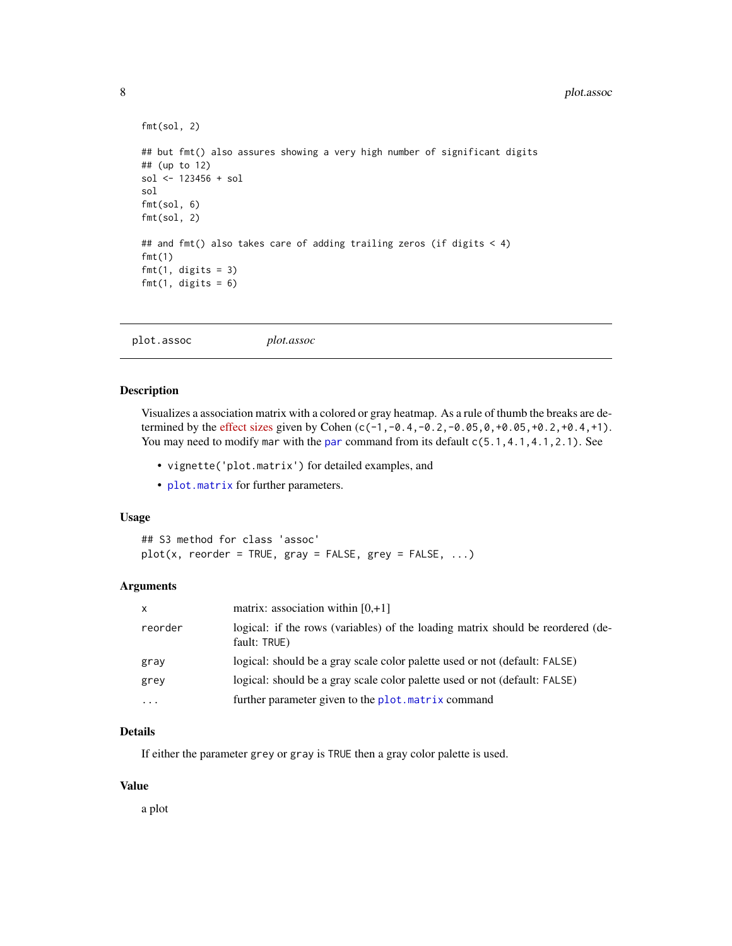#### <span id="page-7-0"></span>8 plot.assoc

```
fmt(sol, 2)
## but fmt() also assures showing a very high number of significant digits
## (up to 12)
sol <- 123456 + sol
sol
fmt(sol, 6)
fmt(sol, 2)
## and fmt() also takes care of adding trailing zeros (if digits \leq 4)
fmt(1)
fmt(1, digits = 3)fmt(1, digits = 6)
```

```
plot.assoc plot.assoc
```
#### Description

Visualizes a association matrix with a colored or gray heatmap. As a rule of thumb the breaks are determined by the [effect sizes](https://en.wikipedia.org/wiki/Effect_size#Pearson_r_or_correlation_coefficient) given by Cohen (c(-1,-0.4,-0.2,-0.05,0,+0.05,+0.2,+0.4,+1). You may need to modify mar with the [par](#page-0-0) command from its default  $c(5.1, 4.1, 4.1, 2.1)$ . See

- vignette('plot.matrix') for detailed examples, and
- [plot.matrix](#page-10-1) for further parameters.

#### Usage

```
## S3 method for class 'assoc'
plot(x, reorder = TRUE, gray = FALSE, grey = FALSE, ...)
```
#### **Arguments**

| X        | matrix: association within $[0, +1]$                                                            |
|----------|-------------------------------------------------------------------------------------------------|
| reorder  | logical: if the rows (variables) of the loading matrix should be reordered (de-<br>fault: TRUE) |
| gray     | logical: should be a gray scale color palette used or not (default: FALSE)                      |
| grey     | logical: should be a gray scale color palette used or not (default: FALSE)                      |
| $\cdots$ | further parameter given to the plot. matrix command                                             |

#### Details

If either the parameter grey or gray is TRUE then a gray color palette is used.

#### Value

a plot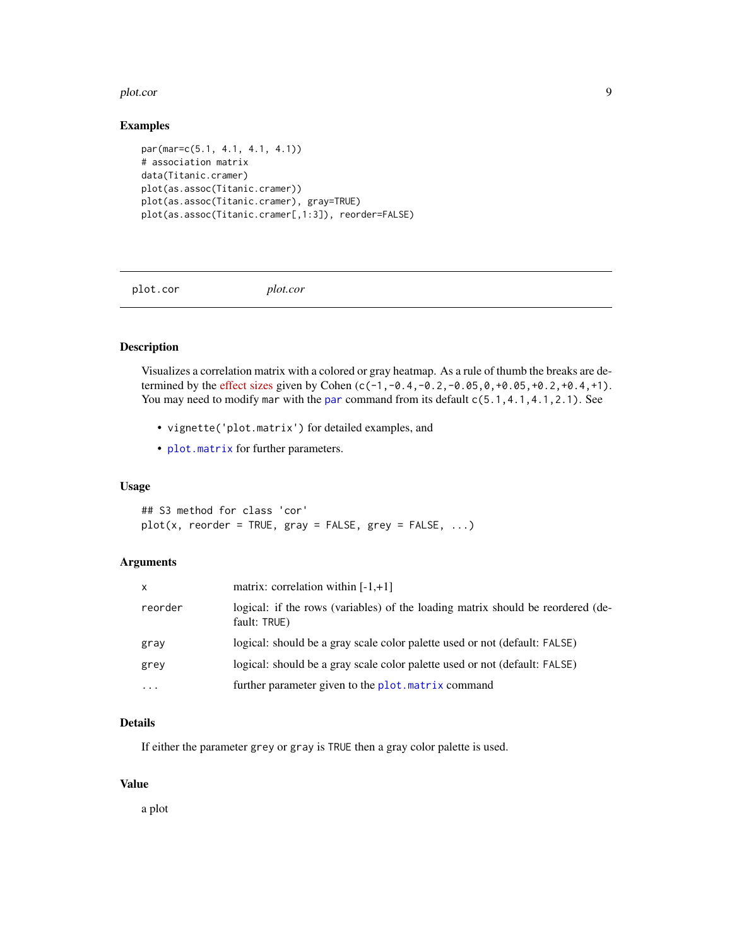#### <span id="page-8-0"></span>plot.cor 9

#### Examples

```
par(mar=c(5.1, 4.1, 4.1, 4.1))
# association matrix
data(Titanic.cramer)
plot(as.assoc(Titanic.cramer))
plot(as.assoc(Titanic.cramer), gray=TRUE)
plot(as.assoc(Titanic.cramer[,1:3]), reorder=FALSE)
```
plot.cor *plot.cor*

# Description

Visualizes a correlation matrix with a colored or gray heatmap. As a rule of thumb the breaks are determined by the [effect sizes](https://en.wikipedia.org/wiki/Effect_size#Pearson_r_or_correlation_coefficient) given by Cohen (c(-1,-0.4,-0.2,-0.05,0,+0.05,+0.2,+0.4,+1). You may need to modify mar with the [par](#page-0-0) command from its default  $c(5.1, 4.1, 4.1, 2.1)$ . See

- vignette('plot.matrix') for detailed examples, and
- [plot.matrix](#page-10-1) for further parameters.

# Usage

## S3 method for class 'cor'  $plot(x, reorder = TRUE, gray = FALSE, grey = FALSE, ...)$ 

#### Arguments

| $\mathsf{x}$ | matrix: correlation within $[-1, +1]$                                                           |
|--------------|-------------------------------------------------------------------------------------------------|
| reorder      | logical: if the rows (variables) of the loading matrix should be reordered (de-<br>fault: TRUE) |
| gray         | logical: should be a gray scale color palette used or not (default: FALSE)                      |
| grey         | logical: should be a gray scale color palette used or not (default: FALSE)                      |
| $\cdots$     | further parameter given to the plot. matrix command                                             |

#### Details

If either the parameter grey or gray is TRUE then a gray color palette is used.

#### Value

a plot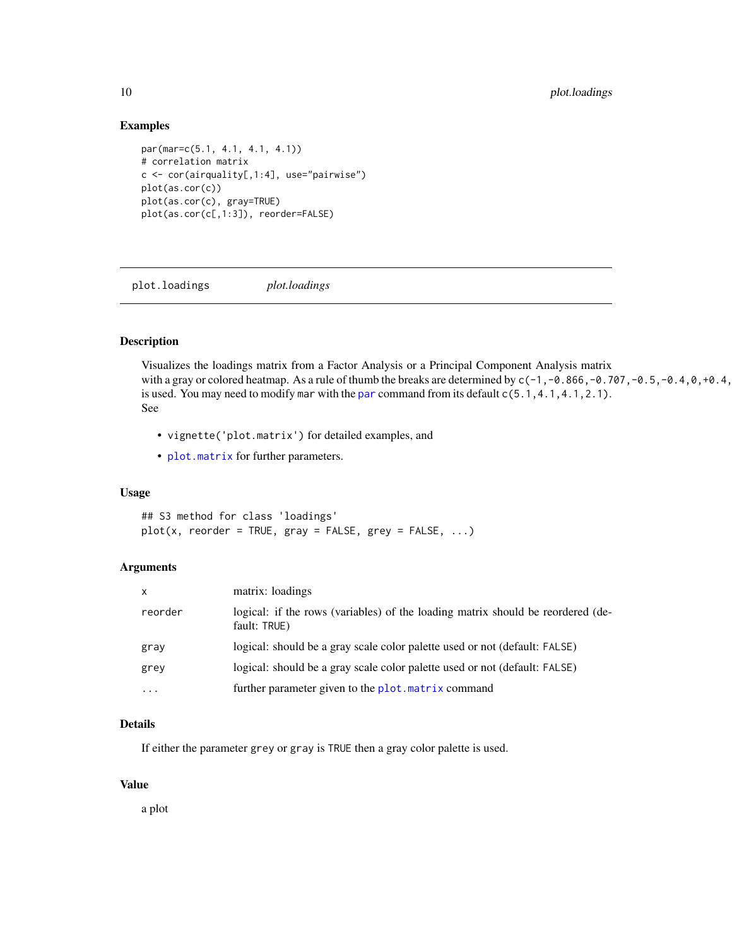#### Examples

```
par(mar=c(5.1, 4.1, 4.1, 4.1))
# correlation matrix
c <- cor(airquality[,1:4], use="pairwise")
plot(as.cor(c))
plot(as.cor(c), gray=TRUE)
plot(as.cor(c[,1:3]), reorder=FALSE)
```
plot.loadings *plot.loadings*

# Description

Visualizes the loadings matrix from a Factor Analysis or a Principal Component Analysis matrix with a gray or colored heatmap. As a rule of thumb the breaks are determined by  $c(-1, -0.866, -0.707, -0.5, -0.4, 0.704, 0.5, -0.707)$ is used. You may need to modify mar with the [par](#page-0-0) command from its default  $c(5.1, 4.1, 4.1, 2.1)$ . See

- vignette('plot.matrix') for detailed examples, and
- [plot.matrix](#page-10-1) for further parameters.

# Usage

## S3 method for class 'loadings'  $plot(x, reorder = TRUE, gray = FALSE, grey = FALSE, ...)$ 

#### Arguments

| $\mathsf{x}$ | matrix: loadings                                                                                |
|--------------|-------------------------------------------------------------------------------------------------|
| reorder      | logical: if the rows (variables) of the loading matrix should be reordered (de-<br>fault: TRUE) |
| gray         | logical: should be a gray scale color palette used or not (default: FALSE)                      |
| grey         | logical: should be a gray scale color palette used or not (default: FALSE)                      |
| $\cdots$     | further parameter given to the plot. matrix command                                             |

#### Details

If either the parameter grey or gray is TRUE then a gray color palette is used.

#### Value

a plot

<span id="page-9-0"></span>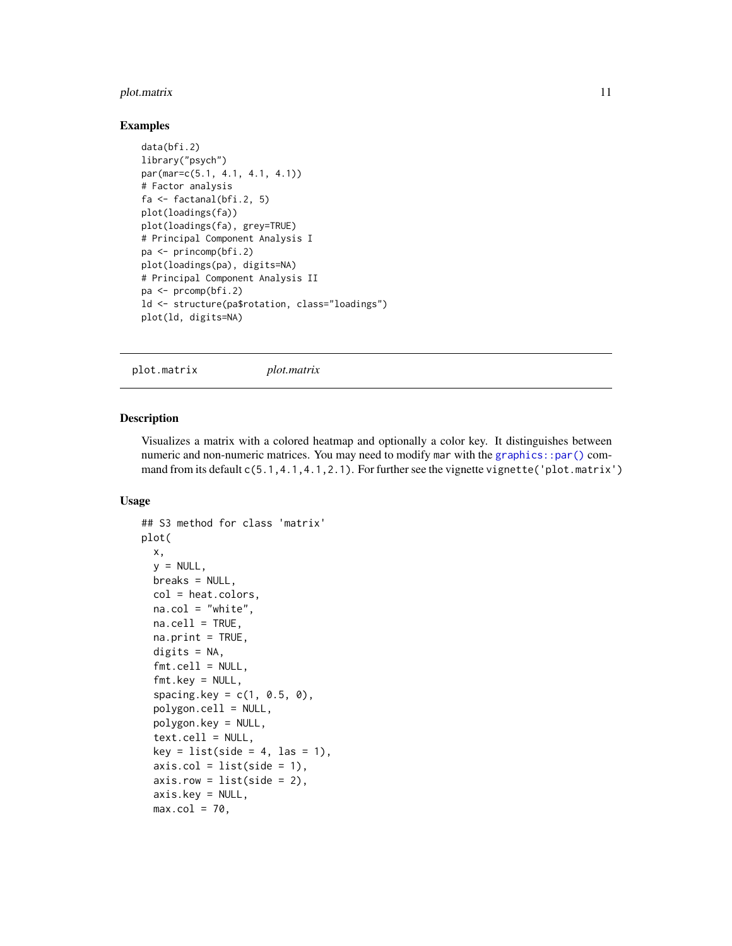#### <span id="page-10-0"></span>plot.matrix 11

#### Examples

```
data(bfi.2)
library("psych")
par(mar=c(5.1, 4.1, 4.1, 4.1))
# Factor analysis
fa <- factanal(bfi.2, 5)
plot(loadings(fa))
plot(loadings(fa), grey=TRUE)
# Principal Component Analysis I
pa <- princomp(bfi.2)
plot(loadings(pa), digits=NA)
# Principal Component Analysis II
pa <- prcomp(bfi.2)
ld <- structure(pa$rotation, class="loadings")
plot(ld, digits=NA)
```
<span id="page-10-1"></span>plot.matrix *plot.matrix*

#### Description

Visualizes a matrix with a colored heatmap and optionally a color key. It distinguishes between numeric and non-numeric matrices. You may need to modify mar with the graphics:: $par()$  command from its default  $c(5.1, 4.1, 4.1, 2.1)$ . For further see the vignette vignette ('plot.matrix')

#### Usage

```
## S3 method for class 'matrix'
plot(
 x,
 y = NULL,breaks = NULL,
 col = heat.colors,
 na.col = "white",na.cell = TRUE,na.print = TRUE,digits = NA,
  fmt.cell = NULL,fmt.key = NULL,spacing. key = c(1, 0.5, 0),polygon.cell = NULL,
 polygon.key = NULL,
  text.cell = NULL,
 key = list(side = 4, las = 1),axis,col = list(side = 1),axisrow = list(side = 2),
  axis.key = NULL,
 max.col = 70,
```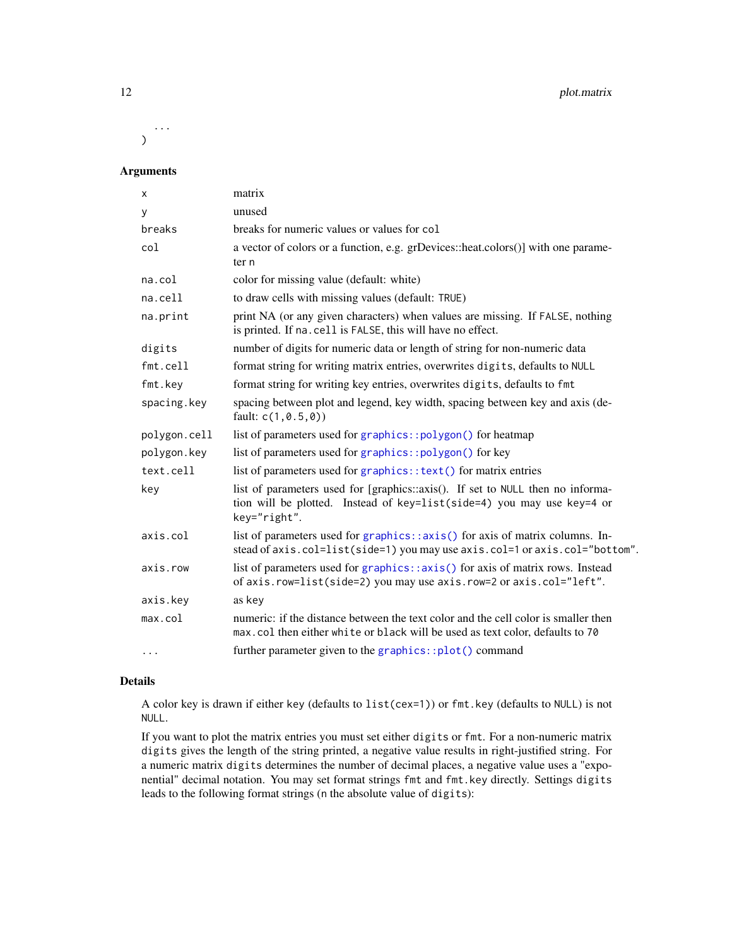<span id="page-11-0"></span>... )

# Arguments

| x            | matrix                                                                                                                                                                   |
|--------------|--------------------------------------------------------------------------------------------------------------------------------------------------------------------------|
| У            | unused                                                                                                                                                                   |
| breaks       | breaks for numeric values or values for col                                                                                                                              |
| col          | a vector of colors or a function, e.g. grDevices::heat.colors()] with one parame-<br>ter n                                                                               |
| na.col       | color for missing value (default: white)                                                                                                                                 |
| na.cell      | to draw cells with missing values (default: TRUE)                                                                                                                        |
| na.print     | print NA (or any given characters) when values are missing. If FALSE, nothing<br>is printed. If na. cell is FALSE, this will have no effect.                             |
| digits       | number of digits for numeric data or length of string for non-numeric data                                                                                               |
| fmt.cell     | format string for writing matrix entries, overwrites digits, defaults to NULL                                                                                            |
| fmt.key      | format string for writing key entries, overwrites digits, defaults to fmt                                                                                                |
| spacing.key  | spacing between plot and legend, key width, spacing between key and axis (de-<br>fault: $c(1, 0.5, 0)$                                                                   |
| polygon.cell | list of parameters used for graphics::polygon() for heatmap                                                                                                              |
| polygon.key  | list of parameters used for graphics::polygon() for key                                                                                                                  |
| text.cell    | list of parameters used for graphics:: text() for matrix entries                                                                                                         |
| key          | list of parameters used for [graphics::axis(). If set to NULL then no informa-<br>tion will be plotted. Instead of key=list(side=4) you may use key=4 or<br>key="right". |
| axis.col     | list of parameters used for graphics::axis() for axis of matrix columns. In-<br>stead of axis.col=list(side=1) you may use axis.col=1 or axis.col="bottom".              |
| axis.row     | list of parameters used for graphics::axis() for axis of matrix rows. Instead<br>of axis.row=list(side=2) you may use axis.row=2 or axis.col="left".                     |
| axis.key     | as key                                                                                                                                                                   |
| max.col      | numeric: if the distance between the text color and the cell color is smaller then<br>max.col then either white or black will be used as text color, defaults to 70      |
| $\cdots$     | further parameter given to the graphics::plot() command                                                                                                                  |

#### Details

A color key is drawn if either key (defaults to list(cex=1)) or fmt.key (defaults to NULL) is not NULL.

If you want to plot the matrix entries you must set either digits or fmt. For a non-numeric matrix digits gives the length of the string printed, a negative value results in right-justified string. For a numeric matrix digits determines the number of decimal places, a negative value uses a "exponential" decimal notation. You may set format strings fmt and fmt.key directly. Settings digits leads to the following format strings (n the absolute value of digits):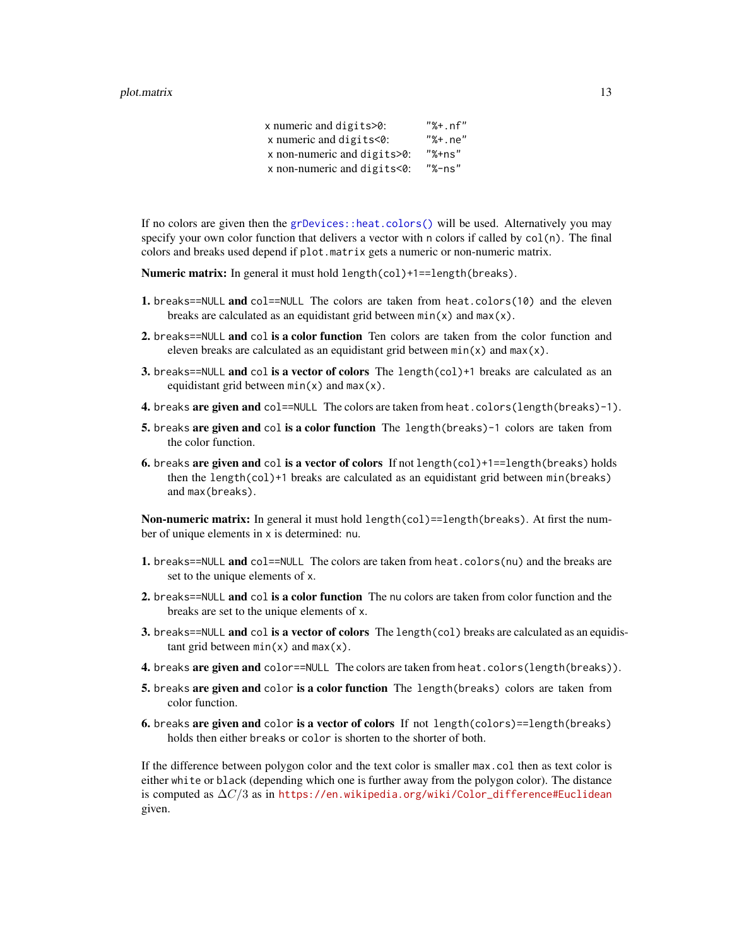#### <span id="page-12-0"></span>plot.matrix 13

x numeric and digits>0: "%+.nf" x numeric and digits<0: "%+.ne" x non-numeric and digits>0: "%+ns" x non-numeric and digits<0: "%-ns"

If no colors are given then the [grDevices::heat.colors\(\)](#page-0-0) will be used. Alternatively you may specify your own color function that delivers a vector with n colors if called by  $col(n)$ . The final colors and breaks used depend if plot.matrix gets a numeric or non-numeric matrix.

Numeric matrix: In general it must hold length(col)+1==length(breaks).

- 1. breaks==NULL and col==NULL The colors are taken from heat.colors(10) and the eleven breaks are calculated as an equidistant grid between  $min(x)$  and  $max(x)$ .
- 2. breaks==NULL and col is a color function Ten colors are taken from the color function and eleven breaks are calculated as an equidistant grid between  $min(x)$  and  $max(x)$ .
- **3.** breaks==NULL and col is a vector of colors The length(col)+1 breaks are calculated as an equidistant grid between  $min(x)$  and  $max(x)$ .
- 4. breaks are given and col==NULL The colors are taken from heat.colors(length(breaks)-1).
- 5. breaks are given and col is a color function The length(breaks) -1 colors are taken from the color function.
- 6. breaks are given and col is a vector of colors If not length(col)+1==length(breaks) holds then the length(col)+1 breaks are calculated as an equidistant grid between min(breaks) and max(breaks).

Non-numeric matrix: In general it must hold length(col)==length(breaks). At first the number of unique elements in x is determined: nu.

- 1. breaks==NULL and col==NULL The colors are taken from heat.colors(nu) and the breaks are set to the unique elements of x.
- 2. breaks==NULL and col is a color function The nu colors are taken from color function and the breaks are set to the unique elements of x.
- 3. breaks==NULL and col is a vector of colors The length(col) breaks are calculated as an equidistant grid between  $min(x)$  and  $max(x)$ .
- 4. breaks are given and color==NULL The colors are taken from heat.colors(length(breaks)).
- 5. breaks are given and color is a color function The length(breaks) colors are taken from color function.
- 6. breaks are given and color is a vector of colors If not length(colors)==length(breaks) holds then either breaks or color is shorten to the shorter of both.

If the difference between polygon color and the text color is smaller max.col then as text color is either white or black (depending which one is further away from the polygon color). The distance is computed as  $\Delta C/3$  as in [https://en.wikipedia.org/wiki/Color\\_difference#Euclidean](https://en.wikipedia.org/wiki/Color_difference#Euclidean) given.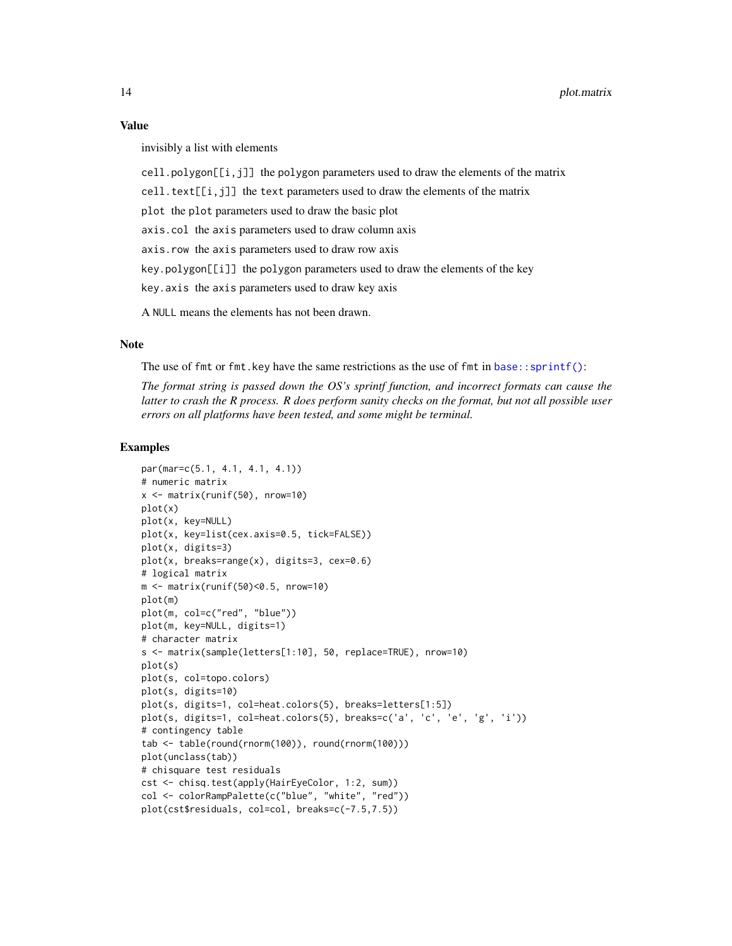#### <span id="page-13-0"></span>Value

invisibly a list with elements

 $cell.polygon[[i,j]]$  the polygon parameters used to draw the elements of the matrix

cell.text $[[i,j]]$  the text parameters used to draw the elements of the matrix

plot the plot parameters used to draw the basic plot

axis.col the axis parameters used to draw column axis

axis.row the axis parameters used to draw row axis

key.polygon[[i]] the polygon parameters used to draw the elements of the key

key.axis the axis parameters used to draw key axis

A NULL means the elements has not been drawn.

#### **Note**

The use of  $fmt$  or  $fmt$ . Key have the same restrictions as the use of  $fmt$  in base:: $sprint()$ :

*The format string is passed down the OS's sprintf function, and incorrect formats can cause the latter to crash the R process. R does perform sanity checks on the format, but not all possible user errors on all platforms have been tested, and some might be terminal.*

```
par(mar=c(5.1, 4.1, 4.1, 4.1))
# numeric matrix
x <- matrix(runif(50), nrow=10)
plot(x)
plot(x, key=NULL)
plot(x, key=list(cex.axis=0.5, tick=FALSE))
plot(x, digits=3)
plot(x, breaks=range(x), digits=3, cex=0.6)
# logical matrix
m <- matrix(runif(50)<0.5, nrow=10)
plot(m)
plot(m, col=c("red", "blue"))
plot(m, key=NULL, digits=1)
# character matrix
s <- matrix(sample(letters[1:10], 50, replace=TRUE), nrow=10)
plot(s)
plot(s, col=topo.colors)
plot(s, digits=10)
plot(s, digits=1, col=heat.colors(5), breaks=letters[1:5])
plot(s, digits=1, col=heat.colors(5), breaks=c('a', 'c', 'e', 'g', 'i'))
# contingency table
tab <- table(round(rnorm(100)), round(rnorm(100)))
plot(unclass(tab))
# chisquare test residuals
cst <- chisq.test(apply(HairEyeColor, 1:2, sum))
col <- colorRampPalette(c("blue", "white", "red"))
plot(cst$residuals, col=col, breaks=c(-7.5,7.5))
```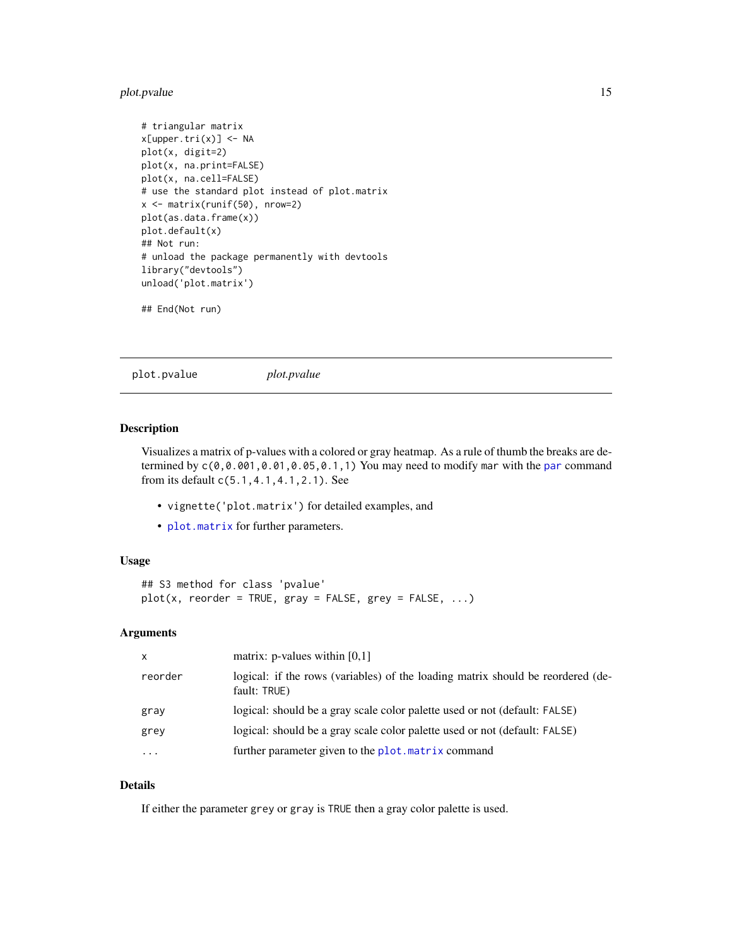# <span id="page-14-0"></span>plot.pvalue 15

```
# triangular matrix
x[upper.tri(x)] <- NA
plot(x, digit=2)
plot(x, na.print=FALSE)
plot(x, na.cell=FALSE)
# use the standard plot instead of plot.matrix
x <- matrix(runif(50), nrow=2)
plot(as.data.frame(x))
plot.default(x)
## Not run:
# unload the package permanently with devtools
library("devtools")
unload('plot.matrix')
```

```
## End(Not run)
```
plot.pvalue *plot.pvalue*

#### Description

Visualizes a matrix of p-values with a colored or gray heatmap. As a rule of thumb the breaks are determined by  $c(0, 0.001, 0.01, 0.05, 0.1, 1)$  You may need to modify mar with the [par](#page-0-0) command from its default c(5.1,4.1,4.1,2.1). See

- vignette('plot.matrix') for detailed examples, and
- [plot.matrix](#page-10-1) for further parameters.

#### Usage

```
## S3 method for class 'pvalue'
plot(x, reorder = TRUE, gray = FALSE, grey = FALSE, ...)
```
#### Arguments

| $\mathsf{x}$ | matrix: p-values within $[0,1]$                                                                 |
|--------------|-------------------------------------------------------------------------------------------------|
| reorder      | logical: if the rows (variables) of the loading matrix should be reordered (de-<br>fault: TRUE) |
| gray         | logical: should be a gray scale color palette used or not (default: FALSE)                      |
| grey         | logical: should be a gray scale color palette used or not (default: FALSE)                      |
| .            | further parameter given to the plot. matrix command                                             |

#### Details

If either the parameter grey or gray is TRUE then a gray color palette is used.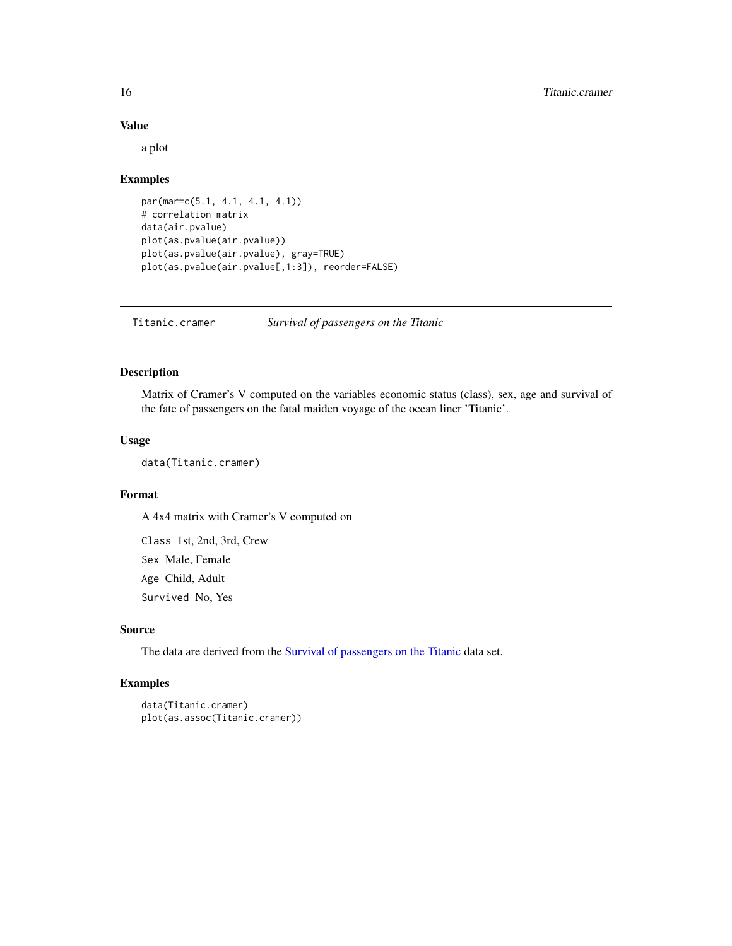# Value

a plot

#### Examples

```
par(mar=c(5.1, 4.1, 4.1, 4.1))
# correlation matrix
data(air.pvalue)
plot(as.pvalue(air.pvalue))
plot(as.pvalue(air.pvalue), gray=TRUE)
plot(as.pvalue(air.pvalue[,1:3]), reorder=FALSE)
```
Titanic.cramer *Survival of passengers on the Titanic*

#### Description

Matrix of Cramer's V computed on the variables economic status (class), sex, age and survival of the fate of passengers on the fatal maiden voyage of the ocean liner 'Titanic'.

# Usage

data(Titanic.cramer)

# Format

A 4x4 matrix with Cramer's V computed on

Class 1st, 2nd, 3rd, Crew Sex Male, Female Age Child, Adult Survived No, Yes

# Source

The data are derived from the [Survival of passengers on the Titanic](#page-0-0) data set.

```
data(Titanic.cramer)
plot(as.assoc(Titanic.cramer))
```
<span id="page-15-0"></span>